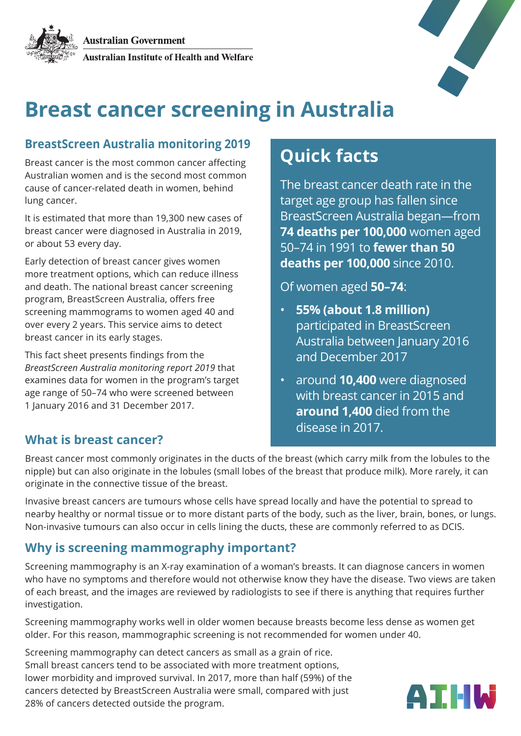

# **Breast cancer screening in Australia**

### **BreastScreen Australia monitoring 2019**

Breast cancer is the most common cancer affecting Australian women and is the second most common cause of cancer-related death in women, behind lung cancer.

It is estimated that more than 19,300 new cases of breast cancer were diagnosed in Australia in 2019, or about 53 every day.

Early detection of breast cancer gives women more treatment options, which can reduce illness and death. The national breast cancer screening program, BreastScreen Australia, offers free screening mammograms to women aged 40 and over every 2 years. This service aims to detect breast cancer in its early stages.

This fact sheet presents findings from the *BreastScreen Australia monitoring report 2019* that examines data for women in the program's target age range of 50–74 who were screened between 1 January 2016 and 31 December 2017.

# **Quick facts**

The breast cancer death rate in the target age group has fallen since BreastScreen Australia began—from **74 deaths per 100,000** women aged 50–74 in 1991 to **fewer than 50 deaths per 100,000** since 2010.

Of women aged **50–74**:

- **55% (about 1.8 million)**  participated in BreastScreen Australia between January 2016 and December 2017
- around **10,400** were diagnosed with breast cancer in 2015 and **around 1,400** died from the disease in 2017.

# **What is breast cancer?**

Breast cancer most commonly originates in the ducts of the breast (which carry milk from the lobules to the nipple) but can also originate in the lobules (small lobes of the breast that produce milk). More rarely, it can originate in the connective tissue of the breast.

Invasive breast cancers are tumours whose cells have spread locally and have the potential to spread to nearby healthy or normal tissue or to more distant parts of the body, such as the liver, brain, bones, or lungs. Non-invasive tumours can also occur in cells lining the ducts, these are commonly referred to as DCIS.

# **Why is screening mammography important?**

Screening mammography is an X-ray examination of a woman's breasts. It can diagnose cancers in women who have no symptoms and therefore would not otherwise know they have the disease. Two views are taken of each breast, and the images are reviewed by radiologists to see if there is anything that requires further investigation.

Screening mammography works well in older women because breasts become less dense as women get older. For this reason, mammographic screening is not recommended for women under 40.

Screening mammography can detect cancers as small as a grain of rice. Small breast cancers tend to be associated with more treatment options, lower morbidity and improved survival. In 2017, more than half (59%) of the cancers detected by BreastScreen Australia were small, compared with just 28% of cancers detected outside the program.